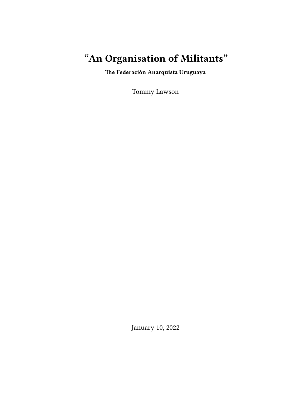# **"An Organisation of Militants"**

**The Federación Anarquista Uruguaya**

Tommy Lawson

January 10, 2022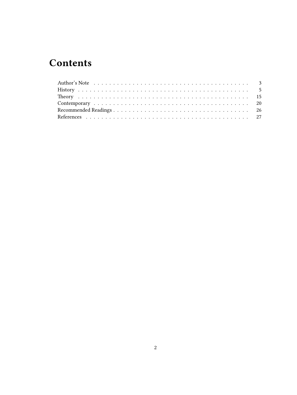# **Contents**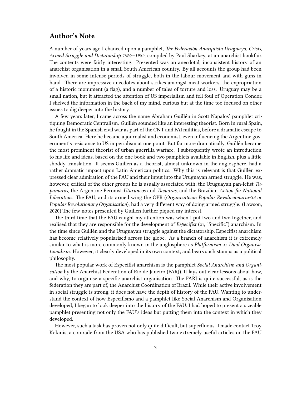## <span id="page-2-0"></span>**Author's Note**

A number of years ago I chanced upon a pamphlet, *The Federación Anarquista Uruguaya; Crisis, Armed Struggle and Dictatorship 1967–1985*, compiled by Paul Sharkey, at an anarchist bookfair. The contents were fairly interesting. Presented was an anecdotal, inconsistent history of an anarchist organisation in a small South American country. By all accounts the group had been involved in some intense periods of struggle, both in the labour movement and with guns in hand. There are impressive anecdotes about strikes amongst meat workers, the expropriation of a historic monument (a flag), and a number of tales of torture and loss. Uruguay may be a small nation, but it attracted the attention of US imperialism and fell foul of Operation Condor. I shelved the information in the back of my mind, curious but at the time too focused on other issues to dig deeper into the history.

A few years later, I came across the name Abraham Guillén in Scott Napalos' pamphlet critiquing Democratic Centralism. Guillén sounded like an interesting theorist. Born in rural Spain, he fought in the Spanish civil war as part of the CNT and FAI militias, before a dramatic escape to South America. Here he became a journalist and economist, even influencing the Argentine government's resistance to US imperialism at one point. But far more dramatically, Guillén became the most prominent theorist of urban guerrilla warfare. I subsequently wrote an introduction to his life and ideas, based on the one book and two pamphlets available in English, plus a little shoddy translation. It seems Guillén as a theorist, almost unknown in the anglosphere, had a rather dramatic impact upon Latin American politics. Why this is relevant is that Guillén expressed clear admiration of the FAU and their input into the Uruguayan armed struggle. He was, however, critical of the other groups he is usually associated with; the Uruguayan pan-lefist *Tupamaros*, the Argentine Peronist *Uturuncos* and *Tacuaras,* and the Brazilian *Action for National Liberation*. The FAU, and its armed wing the OPR (*Organizatcion Popular Revolucionaria-33 or Popular Revolutionary Organisation*), had a very different way of doing armed struggle. (Lawson, 2020) The few notes presented by Guillén further piqued my interest.

The third time that the FAU caught my attention was when I put two and two together, and realised that they are responsible for the development of *Especifist* (or, "Specific") anarchism. In the time since Guillén and the Uruguayan struggle against the dictatorship, Especifist anarchism has become relatively popularised across the globe. As a branch of anarchism it is extremely similar to what is more commonly known in the anglosphere as *Platformism* or *Dual Organisationalism*. However, it clearly developed in its own context, and bears such stamps as a political philosophy.

The most popular work of Especifist anarchism is the pamphlet *Social Anarchism and Organisation* by the Anarchist Federation of Rio de Janeiro (FARJ). It lays out clear lessons about how, and why, to organise a specific anarchist organisation. The FARJ is quite successful, as is the federation they are part of, the Anarchist Coordination of Brazil. While their active involvement in social struggle is strong, it does not have the depth of history of the FAU. Wanting to understand the context of how Especifismo and a pamphlet like Social Anarchism and Organisation developed, I began to look deeper into the history of the FAU. I had hoped to present a sizeable pamphlet presenting not only the FAU's ideas but putting them into the context in which they developed.

However, such a task has proven not only quite difficult, but superfluous. I made contact Troy Kokinis, a comrade from the USA who has published two extremely useful articles on the FAU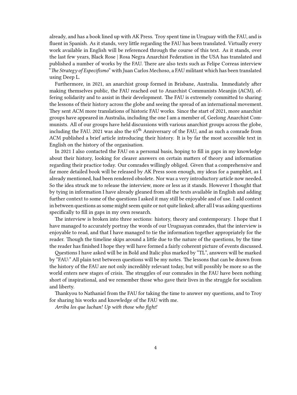already, and has a book lined up with AK Press. Troy spent time in Uruguay with the FAU, and is fluent in Spanish. As it stands, very little regarding the FAU has been translated. Virtually every work available in English will be referenced through the course of this text. As it stands, over the last few years, Black Rose | Rosa Negra Anarchist Federation in the USA has translated and published a number of works by the FAU. There are also texts such as Felipe Correas interview "*The Strategy of Especifismo*" with Juan Carlos Mechoso, a FAU militant which has been translated using Deep L.

Furthermore, in 2021, an anarchist group formed in Brisbane, Australia. Immediately after making themselves public, the FAU reached out to Anarchist Communists Meanjin (ACM), offering solidarity and to assist in their development. The FAU is extremely committed to sharing the lessons of their history across the globe and seeing the spread of an international movement. They sent ACM more translations of historic FAU works. Since the start of 2021, more anarchist groups have appeared in Australia, including the one I am a member of, Geelong Anarchist Communists. All of our groups have held discussions with various anarchist groups across the globe, including the FAU. 2021 was also the 65<sup>th</sup> Anniversary of the FAU, and as such a comrade from ACM published a brief article introducing their history. It is by far the most accessible text in English on the history of the organisation.

In 2021 I also contacted the FAU on a personal basis, hoping to fill in gaps in my knowledge about their history, looking for clearer answers on certain matters of theory and information regarding their practice today. Our comrades willingly obliged. Given that a comprehensive and far more detailed book will be released by AK Press soon enough, my ideas for a pamphlet, as I already mentioned, had been rendered obsolete. Nor was a very introductory article now needed. So the idea struck me to release the interview, more or less as it stands. However I thought that by tying in information I have already gleaned from all the texts available in English and adding further context to some of the questions I asked it may still be enjoyable and of use. I add context in between questions as some might seem quite or not quite linked; after all I was asking questions specifically to fill in gaps in my own research.

The interview is broken into three sections: history, theory and contemporary. I hope that I have managed to accurately portray the words of our Uruguayan comrades, that the interview is enjoyable to read, and that I have managed to tie the information together appropriately for the reader. Though the timeline skips around a little due to the nature of the questions, by the time the reader has finished I hope they will have formed a fairly coherent picture of events discussed.

Questions I have asked will be in Bold and Italic plus marked by "TL", answers will be marked by "FAU:" All plain text between questions will be my notes. The lessons that can be drawn from the history of the FAU are not only incredibly relevant today, but will possibly be more so as the world enters new stages of crisis. The struggles of our comrades in the FAU have been nothing short of inspirational, and we remember those who gave their lives in the struggle for socialism and liberty.

Thankyou to Nathaniel from the FAU for taking the time to answer my questions, and to Troy for sharing his works and knowledge of the FAU with me.

*Arriba los que luchan! Up with those who fight!*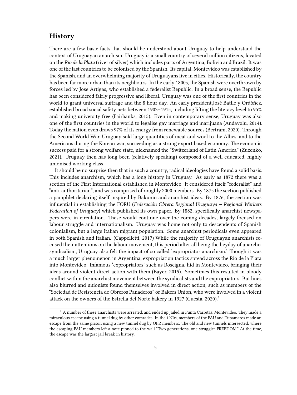## <span id="page-4-0"></span>**History**

There are a few basic facts that should be understood about Uruguay to help understand the context of Uruguayan anarchism. Uruguay is a small country of several million citizens, located on the *Rio de la Plata* (river of silver) which includes parts of Argentina, Bolivia and Brazil. It was one of the last countries to be colonised by the Spanish. Its capital, Montevideo was established by the Spanish, and an overwhelming majority of Uruguayans live in cities. Historically, the country has been far more urban than its neighbours. In the early 1800s, the Spanish were overthrown by forces led by Jose Artigas, who established a federalist Republic. In a broad sense, the Republic has been considered fairly progressive and liberal. Uruguay was one of the first countries in the world to grant universal suffrage and the 8 hour day. An early president,José Batlle y Ordóñez, established broad social safety nets between 1903–1915, including lifting the literacy level to 95% and making university free (Fairbanks, 2015). Even in contemporary sense, Uruguay was also one of the first countries in the world to legalise gay marriage and marijuana (Andavolu, 2014). Today the nation even draws 97% of its energy from renewable sources (Bertram, 2020). Through the Second World War, Uruguay sold large quantities of meat and wool to the Allies, and to the Americans during the Korean war, succeeding as a strong export based economy. The economic success paid for a strong welfare state, nicknamed the "Switzerland of Latin America" (Zuzenko, 2021). Uruguay then has long been (relatively speaking) composed of a well educated, highly unionised working class.

It should be no surprise then that in such a country, radical ideologies have found a solid basis. This includes anarchism, which has a long history in Uruguay. As early as 1872 there was a section of the First International established in Montevideo. It considered itself "federalist" and "anti-authoritarian", and was comprised of roughly 2000 members. By 1875 the section published a pamphlet declaring itself inspired by Bakunin and anarchist ideas. By 1876, the section was influential in establishing the FORU (*Federación Obrera Regional Uruguaya – Regional Workers Federation of Uruguay*) which published its own paper. By 1882, specifically anarchist newspapers were in circulation. These would continue over the coming decades, largely focused on labour struggle and internationalism. Uruguay was home not only to descendents of Spanish colonialism, but a large Italian migrant population. Some anarchist periodicals even appeared in both Spanish and Italian. (Cappelletti, 2017) While the majority of Uruguayan anarchists focused their attentions on the labour movement, this period after all being the heyday of anarchosyndicalism, Uruguay also felt the impact of so called 'expropriator anarchism.' Though it was a much larger phenomenon in Argentina, expropriation tactics spread across the Rio de la Plata into Montevideo. Infamous 'expropriators' such as Roscigna, hid in Montevideo, bringing their ideas around violent direct action with them (Bayer, 2015). Sometimes this resulted in bloody conflict within the anarchist movement between the syndicalists and the expropriators. But lines also blurred and unionists found themselves involved in direct action, such as members of the "Sociedad de Resistencia de Obreros Panaderos" or Bakers Union, who were involved in a violent attack on the owners of the Estrella del Norte bakery in 1927 (Cuesta, 2020).<sup>1</sup>

 $1$  A number of these anarchists were arrested, and ended up jailed in Punta Carretas, Montevideo. They made a miraculous escape using a tunnel dug by other comrades. In the 1970s, members of the FAU and Tupamaros made an escape from the same prison using a new tunnel dug by OPR members. The old and new tunnels intersected, where the escaping FAU members left a note pinned to the wall "Two generations, one struggle: FREEDOM." At the time, the escape was the largest jail break in history.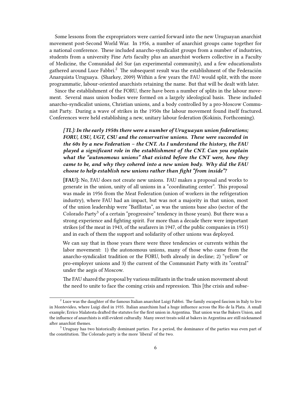Some lessons from the expropriators were carried forward into the new Uruguayan anarchist movement post-Second World War. In 1956, a number of anarchist groups came together for a national conference. These included anarcho-syndicalist groups from a number of industries, students from a university Fine Arts faculty plus an anarchist workers collective in a Faculty of Medicine, the Comunidad del Sur (an experimental community), and a few educationalists gathered around Luce Fabbri.<sup>2</sup> The subsequent result was the establishment of the Federación Anarquista Uruguaya. (Sharkey, 2009) Within a few years the FAU would split, with the more programmatic, labour-oriented anarchists retaining the name. But that will be dealt with later.

Since the establishment of the FORU, there have been a number of splits in the labour movement. Several mass union bodies were formed on a largely ideological basis. These included anarcho-syndicalist unions, Christian unions, and a body controlled by a pro-Moscow Communist Party. During a wave of strikes in the 1950s the labour movement found itself fractured. Conferences were held establishing a new, unitary labour federation (Kokinis, Forthcoming).

*[TL]: In the early 1950s there were a number of Uruguayan union federations; FORU, USU, UGT, CSU and the conservative unions. These were succeeded in the 60s by a new Federation – the CNT. As I understand the history, the FAU played a significant role in th***e** *establishment of the CNT. Can you explain what the "autonomous unions" that existed before the CNT were, how they came to be, and why they cohered into a new union body. Why did the FAU choose to help establish new unions rather than fight "from inside"?*

**[FAU]:** No, FAU does not create new unions. FAU makes a proposal and works to generate in the union, unity of all unions in a "coordinating center". This proposal was made in 1956 from the Meat Federation (union of workers in the refrigeration industry), where FAU had an impact, but was not a majority in that union, most of the union leadership were "Batllistas", as was the unions base also (sector of the Colorado Party<sup>3</sup> of a certain "progressive" tendency in those years). But there was a strong experience and fighting spirit. For more than a decade there were important strikes (of the meat in 1943, of the seafarers in 1947, of the public companies in 1951) and in each of them the support and solidarity of other unions was deployed.

We can say that in those years there were three tendencies or currents within the labor movement: 1) the autonomous unions, many of those who came from the anarcho-syndicalist tradition or the FORU, both already in decline; 2) "yellow" or pro-employer unions and 3) the current of the Communist Party with its "central" under the aegis of Moscow.

The FAU shared the proposal by various militants in the trade union movement about the need to unite to face the coming crisis and repression. This [the crisis and subse-

 $^2$  Luce was the daughter of the famous Italian anarchist Luigi Fabbri. The family escaped fascism in Italy to live in Montevideo, where Luigi died in 1935. Italian anarchism had a huge influence across the Rio de la Plata. A small example; Errico Malatesta drafted the statutes for the first union in Argentina. That union was the Bakers Union, and the influence of anarchists is still evident culturally. Many sweet treats sold at bakers in Argentina are still nicknamed after anarchist themes.

<sup>&</sup>lt;sup>3</sup> Uruguay has two historically dominant parties. For a period, the dominance of the parties was even part of the constitution. The Colorado party is the more 'liberal' of the two.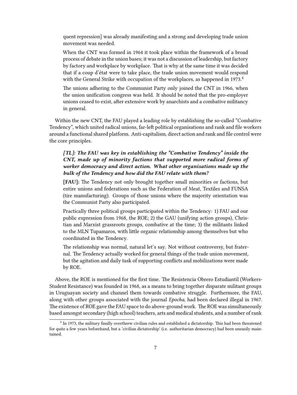quent repression] was already manifesting and a strong and developing trade union movement was needed.

When the CNT was formed in 1964 it took place within the framework of a broad process of debate in the union bases; it was not a discussion of leadership, but factory by factory and workplace by workplace. That is why at the same time it was decided that if a coup d'état were to take place, the trade union movement would respond with the General Strike with occupation of the workplaces, as happened in 1973.<sup>4</sup>

The unions adhering to the Communist Party only joined the CNT in 1966, when the union unification congress was held. It should be noted that the pro-employer unions ceased to exist, after extensive work by anarchists and a combative militancy in general.

Within the new CNT, the FAU played a leading role by establishing the so-called "Combative Tendency", which united radical unions, far-left political organisations and rank and file workers around a functional shared platform. Anti-capitalism, direct action and rank and file control were the core principles.

## *[TL]: The FAU was key in establishing the "Combative Tendency" inside the CNT, made up of minority factions that supported more radical forms of worker democracy and direct action. What other organisations made up the bulk of the Tendency and how did the FAU relate with them?*

**[FAU]:** The Tendency not only brought together small minorities or factions, but entire unions and federations such as the Federation of Meat, Textiles and FUNSA (tire manufacturing). Groups of those unions where the majority orientation was the Communist Party also participated.

Practically three political groups participated within the Tendency: 1) FAU and our public expression from 1968, the ROE; 2) the GAU (unifying action groups), Christian and Marxist grassroots groups, combative at the time; 3) the militants linked to the MLN Tupamaros, with little organic relationship among themselves but who coordinated in the Tendency.

The relationship was normal, natural let's say. Not without controversy, but fraternal. The Tendency actually worked for general things of the trade union movement, but the agitation and daily task of supporting conflicts and mobilizations were made by ROE.

Above, the ROE is mentioned for the first time. The Resistencia Obrero Estudiantil (Workers-Student Resistance) was founded in 1968, as a means to bring together disparate militant groups in Uruguayan society and channel them towards combative struggle. Furthermore, the FAU, along with other groups associated with the journal *Epocha*, had been declared illegal in 1967. The existence of ROE gave the FAU space to do above-ground work. The ROE was simultaneously based amongst secondary (high school) teachers, arts and medical students, and a number of rank

<sup>&</sup>lt;sup>4</sup> In 1973, the military finally overthrew civilian rules and established a dictatorship. This had been threatened for quite a few years beforehand, but a 'civilian dictatorship' (i.e. authoritarian democracy) had been uneasily maintained.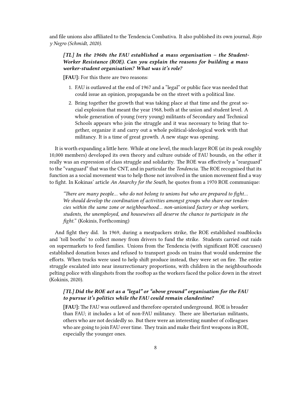and file unions also affiliated to the Tendencia Combativa. It also published its own journal, *Rojo y Negro (Schmidt, 2020)*.

#### *[TL] In the 1960s the FAU established a mass organisation – the Student-Worker Resistance (ROE). Can you explain the reasons for building a mass worker-student organisation? What was it's role?*

**[FAU]:** For this there are two reasons:

- 1. FAU is outlawed at the end of 1967 and a "legal" or public face was needed that could issue an opinion, propaganda be on the street with a political line.
- 2. Bring together the growth that was taking place at that time and the great social explosion that meant the year 1968, both at the union and student level. A whole generation of young (very young) militants of Secondary and Technical Schools appears who join the struggle and it was necessary to bring that together, organize it and carry out a whole political-ideological work with that militancy. It is a time of great growth. A new stage was opening.

It is worth expanding a little here. While at one level, the much larger ROE (at its peak roughly 10,000 members) developed its own theory and culture outside of FAU bounds, on the other it really was an expression of class struggle and solidarity. The ROE was effectively a "rearguard" to the "vanguard" that was the CNT, and in particular the *Tendencia*. The ROE recognised that its function as a social movement was to help those not involved in the union movement find a way to fight. In Kokinas' article *An Anarchy for the South*, he quotes from a 1970 ROE communique:

*"There are many people… who do not belong to unions but who are prepared to fight… We should develop the coordination of activities amongst groups who share our tendencies within the same zone or neighbourhood… non-unionised factory or shop workers, students, the unemployed, and housewives all deserve the chance to participate in the fight."* (Kokinis, Forthcoming)

And fight they did. In 1969, during a meatpackers strike, the ROE established roadblocks and 'toll booths' to collect money from drivers to fund the strike. Students carried out raids on supermarkets to feed families. Unions from the Tendencia (with significant ROE caucuses) established donation boxes and refused to transport goods on trains that would undermine the efforts. When trucks were used to help shift produce instead, they were set on fire. The entire struggle escalated into near insurrectionary proportions, with children in the neighbourhoods pelting police with slingshots from the rooftop as the workers faced the police down in the street (Kokinis, 2020).

#### *[TL] Did the ROE act as a "legal" or "above ground" organisation for the FAU to pursue it's politics while the FAU could remain clandestine?*

**[FAU]:** The FAU was outlawed and therefore operated underground. ROE is broader than FAU; it includes a lot of non-FAU militancy. There are libertarian militants, others who are not decidedly so. But there were an interesting number of colleagues who are going to join FAU over time. They train and make their first weapons in ROE, especially the younger ones.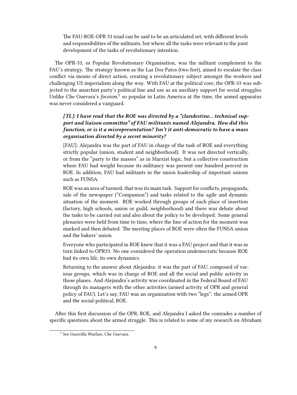The FAU-ROE-OPR 33 triad can be said to be an articulated set, with different levels and responsibilities of the militants, but where all the tasks were relevant to the joint development of the tasks of revolutionary intention.

The OPR-33, or Popular Revolutionary Organisation, was the militant complement to the FAU's strategy. The strategy known as the Las Dos Patos (two feet), aimed to escalate the class conflict via means of direct action, creating a revolutionary subject amongst the workers and challenging US imperialism along the way. With FAU at the political core, the OPR-33 was subjected to the anarchist party's political line and use as an auxiliary support for social struggles. Unlike Che Guevara's *focoism*,<sup>5</sup> so popular in Latin America at the time, the armed apparatus was never considered a vanguard.

## *[TL]: I have read that the ROE was directed by a "clandestine… technical support and liaison committee" of FAU militants named Alejandra. How did this function, or is it a misrepresentation? Isn't it anti-democratic to have a mass organisation directed by a secret minority?*

[FAU]: Alejandra was the part of FAU in charge of the task of ROE and everything strictly popular (union, student and neighborhood). It was not directed vertically, or from the "party to the masses" as in Marxist logic, but a collective construction where FAU had weight because its militancy was present one hundred percent in ROE. In addition, FAU had militants in the union leadership of important unions such as FUNSA.

ROE was an area of turmoil, that was its main task. Support for conflicts, propaganda, sale of the newspaper ("Companion") and tasks related to the agile and dynamic situation of the moment. ROE worked through groups of each place of insertion (factory, high schools, union or guild, neighborhood) and there was debate about the tasks to be carried out and also about the policy to be developed. Some general plenaries were held from time to time, where the line of action for the moment was marked and then debated. The meeting places of ROE were often the FUNSA union and the bakers' union.

Everyone who participated in ROE knew that it was a FAU project and that it was in turn linked to OPR33. No one considered the operation undemocratic because ROE had its own life, its own dynamics.

Returning to the answer about Alejandra: it was the part of FAU, composed of various groups, which was in charge of ROE and all the social and public activity in those planes. And Alejandra's activity was coordinated in the Federal Board of FAU through its managers with the other activities (armed activity of OPR and general policy of FAU). Let's say, FAU was an organization with two "legs": the armed OPR and the social-political, ROE.

After this first discussion of the OPR, ROE, and Alejandra I asked the comrades a number of specific questions about the armed struggle. This is related to some of my research on Abraham

<sup>5</sup> See Guerrilla Warfare, Che Guevara.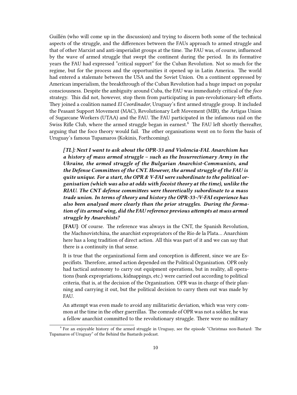Guillén (who will come up in the discussion) and trying to discern both some of the technical aspects of the struggle, and the differences between the FAUs approach to armed struggle and that of other Marxist and anti-imperialist groups at the time. The FAU was, of course, influenced by the wave of armed struggle that swept the continent during the period. In its formative years the FAU had expressed "critical support" for the Cuban Revolution. Not so much for the regime, but for the process and the opportunities it opened up in Latin America. The world had entered a stalemate between the USA and the Soviet Union. On a continent oppressed by American imperialism, the breakthrough of the Cuban Revolution had a huge impact on popular consciousness. Despite the ambiguity around Cuba, the FAU was immediately critical of the *foco* strategy. This did not, however, stop them from participating in pan-revolutionary-left efforts. They joined a coalition named *El Coordinador*, Uruguay's first armed struggle group. It included the Peasant Support Movement (MAC), Revolutionary Left Movement (MIR), the Artigas Union of Sugarcane Workers (UTAA) and the FAU. The FAU participated in the infamous raid on the Swiss Rifle Club, where the armed struggle began in earnest.<sup>6</sup> The FAU left shortly thereafter, arguing that the foco theory would fail. The other organisations went on to form the basis of Uruguay's famous Tupamaros (Kokinis, Forthcoming).

*[TL]: Next I want to ask about the OPR-33 and Violencia-FAI. Anarchism has a history of mass armed struggle – such as the Insurrectionary Army in the Ukraine, the armed struggle of the Bulgarian Anarchist-Communists, and the Defense Committees of the CNT. However, the armed struggle of the FAU is quite unique. For a start, the OPR & V-FAI were subordinate to the political organisation (which was also at odds with focoist theory at the time), unlike the RIAU. The CNT defense committees were theoretically subordinate to a mass trade union. In terms of theory and history the OPR-33-/V-FAI experience has also been analysed more clearly than the prior struggles. During the formation of its armed wing, did the FAU reference previous attempts at mass armed struggle by Anarchists?*

**[FAU]**: Of course. The reference was always in the CNT, the Spanish Revolution, the Machnovistchina, the anarchist expropriators of the Río de la Plata… Anarchism here has a long tradition of direct action. All this was part of it and we can say that there is a continuity in that sense.

It is true that the organizational form and conception is different, since we are Especifists. Therefore, armed action depended on the Political Organization. OPR only had tactical autonomy to carry out equipment operations, but in reality, all operations (bank expropriations, kidnappings, etc.) were carried out according to political criteria, that is, at the decision of the Organization. OPR was in charge of their planning and carrying it out, but the political decision to carry them out was made by FAU.

An attempt was even made to avoid any militaristic deviation, which was very common at the time in the other guerrillas. The comrade of OPR was not a soldier, he was a fellow anarchist committed to the revolutionary struggle. There were no military

<sup>6</sup> For an enjoyable history of the armed struggle in Uruguay, see the episode "Christmas non-Bastard: The Tupamaros of Uruguay" of the Behind the Bastards podcast.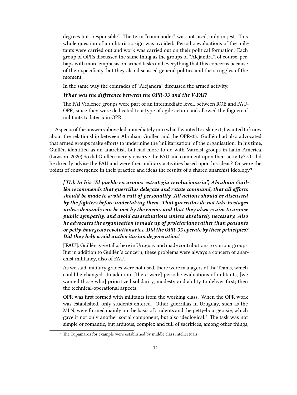degrees but "responsible". The term "commander" was not used, only in jest. This whole question of a militaristic sign was avoided. Periodic evaluations of the militants were carried out and work was carried out on their political formation. Each group of OPRs discussed the same thing as the groups of "Alejandra", of course, perhaps with more emphasis on armed tasks and everything that this concerns because of their specificity, but they also discussed general politics and the struggles of the moment.

In the same way the comrades of "Alejandra" discussed the armed activity.

#### *What was the difference between the OPR-33 and the V-FAI?*

The FAI Violence groups were part of an intermediate level, between ROE and FAU-OPR, since they were dedicated to a type of agile action and allowed the fogueo of militants to later join OPR.

Aspects of the answers above led immediately into what I wanted to ask next; I wanted to know about the relationship between Abraham Guillén and the OPR-33. Guillén had also advocated that armed groups make efforts to undermine the 'militarisation' of the organisation. In his time, Guillén identified as an anarchist, but had more to do with Marxist groups in Latin America. (Lawson, 2020) So did Guillén merely observe the FAU and comment upon their activity? Or did he directly advise the FAU and were their military activities based upon his ideas? Or were the points of convergence in their practice and ideas the results of a shared anarchist ideology?

*[TL]: In his "El pueblo en armas: estrategia revolucionaria", Abraham Guillén recommends that guerrillas delegate and rotate command, that all efforts should be made to avoid a cult of personality. All actions should be discussed by the fighters before undertaking them. That guerrillas do not take hostages unless demands can be met by the enemy and that they always aim to arouse public sympathy, and avoid assassinations unless absolutely necessary. Also he advocates the organisation is made up of proletarians rather than peasants or petty-bourgeois revolutionaries. Did the OPR-33 operate by these principles? Did they help avoid authoritarian degeneration?*

**[FAU]**: Guillén gave talks here in Uruguay and made contributions to various groups. But in addition to Guillén's concern, these problems were always a concern of anarchist militancy, also of FAU.

As we said, military grades were not used, there were managers of the Teams, which could be changed. In addition, [there were] periodic evaluations of militants, [we wanted those who] prioritized solidarity, modesty and ability to deliver first; then the technical-operational aspects.

OPR was first formed with militants from the working class. When the OPR work was established, only students entered. Other guerrillas in Uruguay, such as the MLN, were formed mainly on the basis of students and the petty-bourgeoisie, which gave it not only another social component, but also ideological.<sup>7</sup> The task was not simple or romantic, but arduous, complex and full of sacrifices, among other things,

 $7$  The Tupamaros for example were established by middle class intellectuals.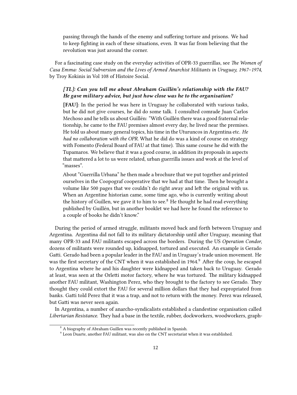passing through the hands of the enemy and suffering torture and prisons. We had to keep fighting in each of these situations, even. It was far from believing that the revolution was just around the corner.

For a fascinating case study on the everyday activities of OPR-33 guerrillas, see *The Women of Casa Emma: Social Subversion and the Lives of Armed Anarchist Militants in Uruguay, 1967–1974*, by Troy Kokinis in Vol 108 of Histoire Social.

#### *[TL]: Can you tell me about Abraham Guillén's relationship with the FAU? He gave military advice, but just how close was he to the organisation?*

**[FAU]**: In the period he was here in Uruguay he collaborated with various tasks, but he did not give courses, he did do some talk. I consulted comrade Juan Carlos Mechoso and he tells us about Guillén: "With Guillén there was a good fraternal relationship, he came to the FAU premises almost every day, he lived near the premises. He told us about many general topics, his time in the Uturuncos in Argentina etc. *He had no collaboration with the OPR.* What he did do was a kind of course on strategy with Fomento (Federal Board of FAU at that time). This same course he did with the Tupamaros. We believe that it was a good course, in addition its proposals in aspects that mattered a lot to us were related, urban guerrilla issues and work at the level of "masses".

About "Guerrilla Urbana" he then made a brochure that we put together and printed ourselves in the Coopograf cooperative that we had at that time. Then he brought a volume like 500 pages that we couldn't do right away and left the original with us. When an Argentine historian came, some time ago, who is currently writing about the history of Guillen, we gave it to him to see.<sup>8</sup> He thought he had read everything published by Guillén, but in another booklet we had here he found the reference to a couple of books he didn't know."

During the period of armed struggle, militants moved back and forth between Uruguay and Argentina. Argentina did not fall to its military dictatorship until after Uruguay, meaning that many OPR-33 and FAU militants escaped across the borders. During the US *Operation Condor*, dozens of militants were rounded up, kidnapped, tortured and executed. An example is Gerado Gatti. Gerado had been a popular leader in the FAU and in Uruguay's trade union movement. He was the first secretary of the CNT when it was established in 1964.<sup>9</sup> After the coup, he escaped to Argentina where he and his daughter were kidnapped and taken back to Uruguay. Gerado at least, was seen at the Orletti motor factory, where he was tortured. The military kidnapped another FAU militant, Washington Perez, who they brought to the factory to see Gerado. They thought they could extort the FAU for several million dollars that they had expropriated from banks. Gatti told Perez that it was a trap, and not to return with the money. Perez was released, but Gatti was never seen again.

In Argentina, a number of anarcho-syndicalists established a clandestine organisation called *Libertarian Resistance*. They had a base in the textile, rubber, dockworkers, woodworkers, graph-

<sup>8</sup> A biography of Abraham Guillen was recently published in Spanish.

 $9$  Leon Duarte, another FAU militant, was also on the CNT secretariat when it was established.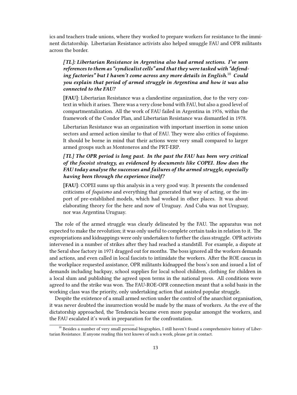ics and teachers trade unions, where they worked to prepare workers for resistance to the imminent dictatorship. Libertarian Resistance activists also helped smuggle FAU and OPR militants across the border.

*[TL]: Libertarian Resistance in Argentina also had armed sections. I've seen references to them as "syndicalist cells" and that they were tasked with "defending factories" but I haven't come across any more details in English.*<sup>10</sup> *Could you explain that period of armed struggle in Argentina and how it was also connected to the FAU?*

**[FAU]**: Libertarian Resistance was a clandestine organization, due to the very context in which it arises. There was a very close bond with FAU, but also a good level of compartmentalization. All the work of FAU failed in Argentina in 1976, within the framework of the Condor Plan, and Libertarian Resistance was dismantled in 1978.

Libertarian Resistance was an organization with important insertion in some union sectors and armed action similar to that of FAU. They were also critics of foquismo. It should be borne in mind that their actions were very small compared to larger armed groups such as Montoneros and the PRT-ERP.

## *[TL] The OPR period is long past. In the past the FAU has been very critical of the focoist strategy, as evidenced by documents like COPEI. How does the FAU today analyse the successes and failures of the armed struggle, especially having been through the experience itself?*

**[FAU]**: COPEI sums up this analysis in a very good way. It presents the condensed criticisms of *foquismo* and everything that generated that way of acting, or the import of pre-established models, which had worked in other places. It was about elaborating theory for the here and now of Uruguay. And Cuba was not Uruguay, nor was Argentina Uruguay.

The role of the armed struggle was clearly delineated by the FAU. The apparatus was not expected to make the revolution; it was only useful to complete certain tasks in relation to it. The expropriations and kidnappings were only undertaken to further the class struggle. OPR activists intervened in a number of strikes after they had reached a standstill. For example, a dispute at the Seral shoe factory in 1971 dragged out for months. The boss ignored all the workers demands and actions, and even called in local fascists to intimidate the workers. After the ROE caucus in the workplace requested assistance, OPR militants kidnapped the boss's son and issued a list of demands including backpay, school supplies for local school children, clothing for children in a local slum and publishing the agreed upon terms in the national press. All conditions were agreed to and the strike was won. The FAU-ROE-OPR connection meant that a solid basis in the working class was the priority, only undertaking action that assisted popular struggle.

Despite the existence of a small armed section under the control of the anarchist organisation, it was never doubted the insurrection would be made by the mass of workers. As the eve of the dictatorship approached, the Tendencia became even more popular amongst the workers, and the FAU escalated it's work in preparation for the confrontation.

 $10$  Besides a number of very small personal biographies, I still haven't found a comprehensive history of Libertarian Resistance. If anyone reading this text knows of such a work, please get in contact.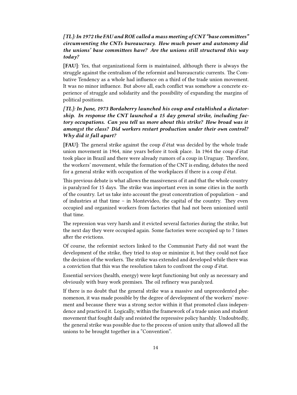## *[TL]: In 1972 the FAU and ROE called a mass meeting of CNT "base committees" circumventing the CNTs bureaucracy. How much power and autonomy did the unions' base committees have? Are the unions still structured this way today?*

**[FAU]**: Yes, that organizational form is maintained, although there is always the struggle against the centralism of the reformist and bureaucratic currents. The Combative Tendency as a whole had influence on a third of the trade union movement. It was no minor influence. But above all, each conflict was somehow a concrete experience of struggle and solidarity and the possibility of expanding the margins of political positions.

## *[TL]: In June, 1973 Bordaberry launched his coup and established a dictatorship. In response the CNT launched a 15 day general strike, including factory occupations. Can you tell us more about this strike? How broad was it amongst the class? Did workers restart production under their own control? Why did it fall apart?*

**[FAU]**: The general strike against the coup d'état was decided by the whole trade union movement in 1964, nine years before it took place. In 1964 the coup d'état took place in Brazil and there were already rumors of a coup in Uruguay. Therefore, the workers' movement, while the formation of the CNT is ending, debates the need for a general strike with occupation of the workplaces if there is a coup d'état.

This previous debate is what allows the massiveness of it and that the whole country is paralyzed for 15 days. The strike was important even in some cities in the north of the country. Let us take into account the great concentration of population – and of industries at that time – in Montevideo, the capital of the country. They even occupied and organized workers from factories that had not been unionized until that time.

The repression was very harsh and it evicted several factories during the strike, but the next day they were occupied again. Some factories were occupied up to 7 times after the evictions.

Of course, the reformist sectors linked to the Communist Party did not want the development of the strike, they tried to stop or minimize it, but they could not face the decision of the workers. The strike was extended and developed while there was a conviction that this was the resolution taken to confront the coup d'état.

Essential services (health, energy) were kept functioning but only as necessary and obviously with busy work premises. The oil refinery was paralyzed.

If there is no doubt that the general strike was a massive and unprecedented phenomenon, it was made possible by the degree of development of the workers' movement and because there was a strong sector within it that promoted class independence and practiced it. Logically, within the framework of a trade union and student movement that fought daily and resisted the repressive policy harshly. Undoubtedly, the general strike was possible due to the process of union unity that allowed all the unions to be brought together in a "Convention".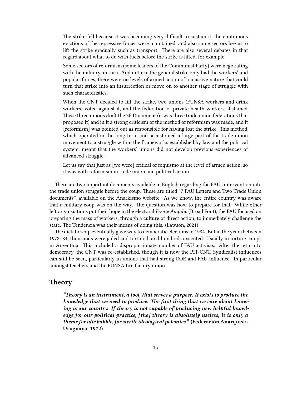The strike fell because it was becoming very difficult to sustain it, the continuous evictions of the repressive forces were maintained, and also some sectors began to lift the strike gradually such as transport. There are also several debates in that regard about what to do with fuels before the strike is lifted, for example.

Some sectors of reformism (some leaders of the Communist Party) were negotiating with the military, in turn. And in turn, the general strike only had the workers' and popular forces, there were no levels of armed action of a massive nature that could turn that strike into an insurrection or move on to another stage of struggle with such characteristics.

When the CNT decided to lift the strike, two unions (FUNSA workers and drink workers) voted against it, and the federation of private health workers abstained. These three unions draft the 3F Document (it was three trade union federations that proposed it) and in it a strong criticism of the method of reformism was made, and it [reformism] was pointed out as responsible for having lost the strike. This method, which operated in the long term and accustomed a large part of the trade union movement to a struggle within the frameworks established by law and the political system, meant that the workers' unions did not develop previous experiences of advanced struggle.

Let us say that just as [we were] critical of foquismo at the level of armed action, so it was with reformism in trade union and political action.

There are two important documents available in English regarding the FAUs intervention into the trade union struggle before the coup. These are titled "7 FAU Letters and Two Trade Union documents", available on the Anarkismo website. As we know, the entire country was aware that a military coup was on the way. The question was how to prepare for that. While other left organsiations put their hope in the electoral *Frente Ampilio* (Broad Font), the FAU focused on preparing the mass of workers, through a culture of direct action, to immediately challenge the state. The Tendencia was their means of doing this. (Lawson, 2021)

The dictatorship eventually gave way to democratic elections in 1984. But in the years between 1972–84, thousands were jailed and tortured, and hundreds executed. Usually in torture camps in Argentina. This included a disproportionate number of FAU activists. After the return to democracy, the CNT was re-established, though it is now the PIT-CNT. Syndicalist influences can still be seen, particularly in unions that had strong ROE and FAU influence. In particular amongst teachers and the FUNSA tire factory union.

#### <span id="page-14-0"></span>**Theory**

*"Theory is an instrument, a tool, that serves a purpose. It exists to produce the knowledge that we need to produce. The first thing that we care about knowing is our country. If theory is not capable of producing new helpful knowledge for our political practice, [the] theory is absolutely useless, it is only a theme for idle babble, for sterile ideological polemics."* **(Federación Anarquista Uruguaya, 1972)**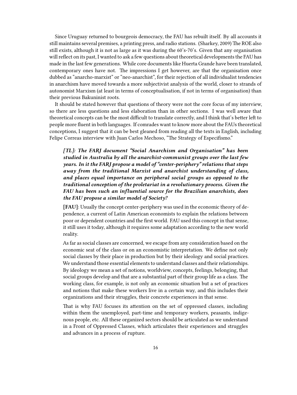Since Uruguay returned to bourgeois democracy, the FAU has rebuilt itself. By all accounts it still maintains several premises, a printing press, and radio stations. (Sharkey, 2009) The ROE also still exists, although it is not as large as it was during the 60's-70's. Given that any organisation will reflect on its past, I wanted to ask a few questions about theoretical developments the FAU has made in the last few generations. While core documents like Huerta Grande have been translated, contemporary ones have not. The impressions I get however, are that the organisation once dubbed as "anarcho-marxist" or "neo-anarchist", for their rejection of all individualist tendencies in anarchism have moved towards a more subjectivist analysis of the world, closer to strands of autonomist Marxism (at least in terms of conceptualisation, if not in terms of organisation) than their previous Bakuninist roots.

It should be stated however that questions of theory were not the core focus of my interview, so there are less questions and less elaboration than in other sections. I was well aware that theoretical concepts can be the most difficult to translate correctly, and I think that's better left to people more fluent in both languages. If comrades want to know more about the FAUs theoretical conceptions, I suggest that it can be best gleaned from reading all the texts in English, including Felipe Correas interview with Juan Carlos Mechoso, "The Strategy of Especifismo."

*[TL]: The FARJ document "Social Anarchism and Organisation" has been studied in Australia by all the anarchist-communist groups over the last few years. In it the FARJ propose a model of "center-periphery" relations that steps away from the traditional Marxist and anarchist understanding of class, and places equal importance on peripheral social groups as opposed to the traditional conception of the proletariat in a revolutionary process. Given the FAU has been such an influential source for the Brazilian anarchists, does the FAU propose a similar model of Society?*

**[FAU]**: Usually the concept center-periphery was used in the economic theory of dependence, a current of Latin American economists to explain the relations between poor or dependent countries and the first world. FAU used this concept in that sense, it still uses it today, although it requires some adaptation according to the new world reality.

As far as social classes are concerned, we escape from any consideration based on the economic seat of the class or on an economistic interpretation. We define not only social classes by their place in production but by their ideology and social practices. We understand those essential elements to understand classes and their relationships. By ideology we mean a set of notions, worldview, concepts, feelings, belonging, that social groups develop and that are a substantial part of their group life as a class. The working class, for example, is not only an economic situation but a set of practices and notions that make these workers live in a certain way, and this includes their organizations and their struggles, their concrete experiences in that sense.

That is why FAU focuses its attention on the set of oppressed classes, including within them the unemployed, part-time and temporary workers, peasants, indigenous people, etc. All these organized sectors should be articulated as we understand in a Front of Oppressed Classes, which articulates their experiences and struggles and advances in a process of rupture.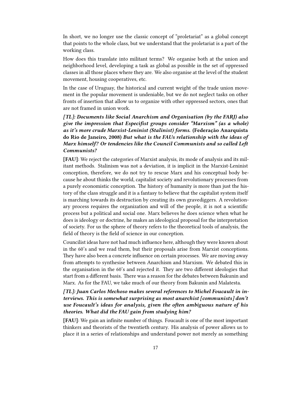In short, we no longer use the classic concept of "proletariat" as a global concept that points to the whole class, but we understand that the proletariat is a part of the working class.

How does this translate into militant terms? We organise both at the union and neighborhood level, developing a task as global as possible in the set of oppressed classes in all those places where they are. We also organise at the level of the student movement, housing cooperatives, etc.

In the case of Uruguay, the historical and current weight of the trade union movement in the popular movement is undeniable, but we do not neglect tasks on other fronts of insertion that allow us to organize with other oppressed sectors, ones that are not framed in union work.

*[TL]: Documents like Social Anarchism and Organisation (by the FARJ) also give the impression that Especifist groups consider "Marxism" (as a whole) as it's more crude Marxist-Leninist (Stalinist) forms.* **(Federação Anarquista do Rio de Janeiro, 2008)** *But what is the FAUs relationship with the ideas of Marx himself? Or tendencies like the Council Communists and so called Left Communists?*

**[FAU]**: We reject the categories of Marxist analysis, its mode of analysis and its militant methods. Stalinism was not a deviation, it is implicit in the Marxist-Leninist conception, therefore, we do not try to rescue Marx and his conceptual body because he about thinks the world, capitalist society and revolutionary processes from a purely economistic conception. The history of humanity is more than just the history of the class struggle and it is a fantasy to believe that the capitalist system itself is marching towards its destruction by creating its own gravediggers. A revolutionary process requires the organization and will of the people, it is not a scientific process but a political and social one. Marx believes he does science when what he does is ideology or doctrine, he makes an ideological proposal for the interpretation of society. For us the sphere of theory refers to the theoretical tools of analysis, the field of theory is the field of science in our conception.

Councilist ideas have not had much influence here, although they were known about in the 60's and we read them, but their proposals arise from Marxist conceptions. They have also been a concrete influence on certain processes. We are moving away from attempts to synthesise between Anarchism and Marxism. We debated this in the organisation in the 60's and rejected it. They are two different ideologies that start from a different basis. There was a reason for the debates between Bakunin and Marx. As for the FAU, we take much of our theory from Bakunin and Malatesta.

*[TL]: Juan Carlos Mechoso makes several references to Michel Foucault in interviews. This is somewhat surprising as most anarchist [communists] don't use Foucault's ideas for analysis, given the often ambiguous nature of his theories. What did the FAU gain from studying him?*

**[FAU]**: We gain an infinite number of things. Foucault is one of the most important thinkers and theorists of the twentieth century. His analysis of power allows us to place it in a series of relationships and understand power not merely as something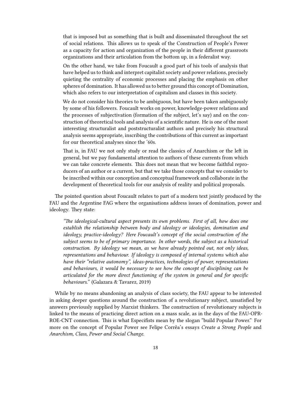that is imposed but as something that is built and disseminated throughout the set of social relations. This allows us to speak of the Construction of People's Power as a capacity for action and organization of the people in their different grassroots organizations and their articulation from the bottom up, in a federalist way.

On the other hand, we take from Foucault a good part of his tools of analysis that have helped us to think and interpret capitalist society and power relations, precisely quieting the centrality of economic processes and placing the emphasis on other spheres of domination. It has allowed us to better ground this concept of Domination, which also refers to our interpretation of capitalism and classes in this society.

We do not consider his theories to be ambiguous, but have been taken ambiguously by some of his followers. Foucault works on power, knowledge-power relations and the processes of subjectivation (formation of the subject, let's say) and on the construction of theoretical tools and analysis of a scientific nature. He is one of the most interesting structuralist and poststructuralist authors and precisely his structural analysis seems appropriate, inscribing the contributions of this current as important for our theoretical analyses since the '60s.

That is, in FAU we not only study or read the classics of Anarchism or the left in general, but we pay fundamental attention to authors of these currents from which we can take concrete elements. This does not mean that we become faithful reproducers of an author or a current, but that we take those concepts that we consider to be inscribed within our conception and conceptual framework and collaborate in the development of theoretical tools for our analysis of reality and political proposals.

The pointed question about Foucault relates to part of a modern text jointly produced by the FAU and the Argentine FAG where the organisations address issues of domination, power and ideology. They state:

*"The ideological-cultural aspect presents its own problems. First of all, how does one establish the relationship between body and ideology or ideologies, domination and ideology, practice-ideology? Here Foucault's concept of the social construction of the subject seems to be of primary importance. In other words, the subject as a historical construction. By ideology we mean, as we have already pointed out, not only ideas, representations and behaviour. If ideology is composed of internal systems which also have their "relative autonomy", ideas-practices, technologies of power, representations and behaviours, it would be necessary to see how the concept of disciplining can be articulated for the more direct functioning of the system in general and for specific behaviours."* (Galazara & Tavarez, 2019)

While by no means abandoning an analysis of class society, the FAU appear to be interested in asking deeper questions around the construction of a revolutionary subject, unsatisfied by answers previously supplied by Marxist thinkers. The construction of revolutionary subjects is linked to the means of practicing direct action on a mass scale, as in the days of the FAU-OPR-ROE-CNT connection. This is what Especifists mean by the slogan "build Popular Power." For more on the concept of Popular Power see Felipe Corrêa's essays *Create a Strong People* and *Anarchism, Class, Power and Social Change*.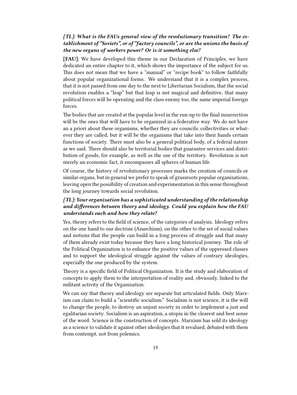## *[TL]: What is the FAUs general view of the revolutionary transition? The establishment of "Soviets", or of "factory councils", or are the unions the basis of the new organs of workers power? Or is it something else?*

**[FAU]**: We have developed this theme in our Declaration of Principles, we have dedicated an entire chapter to it, which shows the importance of the subject for us. This does not mean that we have a "manual" or "recipe book" to follow faithfully about popular organizational forms. We understand that it is a complex process, that it is not passed from one day to the next to Libertarian Socialism, that the social revolution enables a "leap" but that leap is not magical and definitive, that many political forces will be operating and the class enemy too, the same imperial foreign forces.

The bodies that are created at the popular level in the run-up to the final insurrection will be the ones that will have to be organized in a federative way. We do not have an a priori about these organisms, whether they are councils, collectivities or whatever they are called, but it will be the organisms that take into their hands certain functions of society. There must also be a general political body, of a federal nature as we said. There should also be territorial bodies that guarantee services and distribution of goods, for example, as well as the use of the territory. Revolution is not merely an economic fact, it encompasses all spheres of human life.

Of course, the history of revolutionary processes marks the creation of councils or similar organs, but in general we prefer to speak of grassroots popular organizations, leaving open the possibility of creation and experimentation in this sense throughout the long journey towards social revolution.

## *[TL]: Your organisation has a sophisticated understanding of the relationship and differences between theory and ideology. Could you explain how the FAU understands each and how they relate?*

Yes, theory refers to the field of science, of the categories of analysis. Ideology refers on the one hand to our doctrine (Anarchism), on the other to the set of social values and notions that the people can build in a long process of struggle and that many of them already exist today because they have a long historical journey. The role of the Political Organization is to enhance the positive values of the oppressed classes and to support the ideological struggle against the values of contrary ideologies, especially the one produced by the system.

Theory is a specific field of Political Organization. It is the study and elaboration of concepts to apply them to the interpretation of reality and, obviously, linked to the militant activity of the Organization.

We can say that theory and ideology are separate but articulated fields. Only Marxism can claim to build a "scientific socialism." Socialism is not science, it is the will to change the people, to destroy an unjust society in order to implement a just and egalitarian society. Socialism is an aspiration, a utopia in the clearest and best sense of the word. Science is the construction of concepts. Marxism has sold its ideology as a science to validate it against other ideologies that it revalued, debated with them from contempt, not from polemics.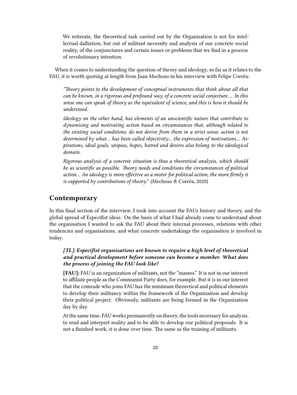We reiterate, the theoretical task carried out by the Organization is not for intellectual dalliation, but out of militant necessity and analysis of our concrete social reality, of the conjunctures and certain issues or problems that we find in a process of revolutionary intention.

When it comes to understanding the question of theory and ideology, so far as it relates to the FAU, it is worth quoting at length from Juan Mechoso in his interview with Felipe Corrêa:

*"Theory points to the development of conceptual instruments that think about all that can be known, in a rigorous and profound way, of a concrete social conjecture…. In this sense one can speak of theory as the equivalent of science, and this is how it should be understood.*

*Ideology on the other hand, has elements of an unscientific nature that contribute to dynamising and motivating action based on circumstances that, although related to the existing social conditions, do not derive from them in a strict sense; action is not determined by what… has been called objectivity… the expression of motivations… Aspirations, ideal goals, utopias, hopes, hatred and desires also belong to the ideological domain.*

*Rigorous analysis of a concrete situation is thus a theoretical analysis, which should be as scientific as possible. Theory needs and conditions the circumstances of political action… An ideology is more effective as a motor for political action, the more firmly it is supported by contributions of theory."* (Mechoso & Corrêa, 2020)

## <span id="page-19-0"></span>**Contemporary**

In this final section of the interview, I took into account the FAUs history and theory, and the global spread of Especifist ideas. On the basis of what I had already come to understand about the organisation I wanted to ask the FAU about their internal processes, relations with other tendencies and organisations, and what concrete undertakings the organisation is involved in today.

## *[TL]: Especifist organisations are known to require a high level of theoretical and practical development before someone can become a member. What does the process of joining the FAU look like?*

**[FAU]:** FAU is an organization of militants, not the "masses." It is not in our interest to affiliate people as the Communist Party does, for example. But it is in our interest that the comrade who joins FAU has the minimum theoretical and political elements to develop their militancy within the framework of the Organization and develop their political project. Obviously, militants are being formed in the Organization day by day.

At the same time, FAU works permanently on theory, the tools necessary for analysis, to read and interpret reality and to be able to develop our political proposals. It is not a finished work, it is done over time. The same as the training of militants.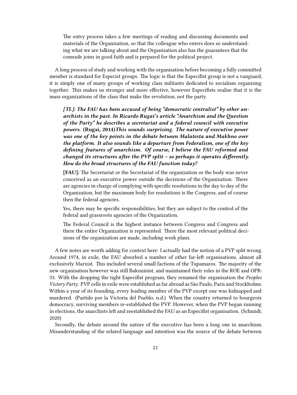The entry process takes a few meetings of reading and discussing documents and materials of the Organization, so that the colleague who enters does so understanding what we are talking about and the Organization also has the guarantees that the comrade joins in good faith and is prepared for the political project.

A long process of study and working with the organisation before becoming a fully committed member is standard for Especist groups. The logic is that the Especifist group is not a vanguard, it is simply one of many groups of working class militants dedicated to socialism organising together. This makes us stronger and more effective, however Especifists realise that it is the mass organizations of the class that make the revolution, not the party.

*[TL]: The FAU has been accused of being "democratic centralist" by other anarchists in the past. In Ricardo Rugai's article "Anarchism and the Question of the Party" he describes a secretariat and a federal council with executive powers.* **(Rugai, 2014)***This sounds surprising. The nature of executive power was one of the key points in the debate between Malatesta and Makhno over the platform. It also sounds like a departure from Federalism, one of the key defining features of anarchism. Of course, I believe the FAU reformed and changed its structures after the PVP split – so perhaps it operates differently. How do the broad structures of the FAU function today?*

**[FAU]:** The Secretariat or the Secretariat of the organization or the body was never conceived as an executive power outside the decisions of the Organization. There are agencies in charge of complying with specific resolutions in the day to day of the Organization, but the maximum body for resolutions is the Congress, and of course then the federal agencies.

Yes, there may be specific responsibilities, but they are subject to the control of the federal and grassroots agencies of the Organization.

The Federal Council is the highest instance between Congress and Congress and there the entire Organization is represented. There the most relevant political decisions of the organization are made, including work plans.

A few notes are worth adding for context here: I actually had the notion of a PVP split wrong. Around 1974, in exile, the FAU absorbed a number of other far-left organisations, almost all exclusively Marxist. This included several small factions of the Tupamaros. The majority of the new organisation however was still Bakuninist, and maintained their roles in the ROE and OPR-33. With the dropping the tight Especifist program, they renamed the organisation the *Peoples Victory Party*. PVP cells in exile were established as far abroad as São Paulo, Paris and Stockholme. Within a year of its founding, every leading member of the PVP except one was kidnapped and murdered. (Partido por la Victoria del Pueblo, n.d.) When the country returned to bourgeois democracy, surviving members re-established the PVP. However, when the PVP began running in elections, the anarchists left and reestablished the FAU as an Especifist organisation. (Schmidt, 2020)

Secondly, the debate around the nature of the executive has been a long one in anarchism. Misunderstanding of the related language and intention was the source of the debate between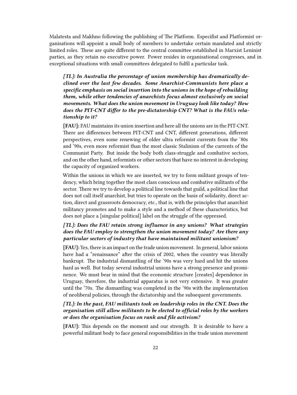Malatesta and Makhno following the publishing of The Platform. Especifist and Platformist organisations will appoint a small body of members to undertake certain mandated and strictly limited roles. These are quite different to the central committee established in Marxist Leninist parties, as they retain no executive power. Power resides in organisational congresses, and in exceptional situations with small committees delegated to fulfil a particular task.

*[TL]: In Australia the percentage of union membership has dramatically declined over the last few decades. Some Anarchist-Communists here place a specific emphasis on social insertion into the unions in the hope of rebuilding them, while other tendencies of anarchists focus almost exclusively on social movements. What does the union movement in Uruguay look like today? How does the PIT-CNT differ to the pre-dictatorship CNT? What is the FAUs relationship to it?*

**[FAU]:** FAU maintains its union insertion and here all the unions are in the PIT-CNT. There are differences between PIT-CNT and CNT, different generations, different perspectives, even some renewing of older ultra reformist currents from the '80s and '90s, even more reformist than the most classic Stalinism of the currents of the Communist Party. But inside the body both class-struggle and combative sectors, and on the other hand, reformists or other sectors that have no interest in developing the capacity of organized workers.

Within the unions in which we are inserted, we try to form militant groups of tendency, which bring together the most class conscious and combative militants of the sector. There we try to develop a political line towards that guild, a political line that does not call itself anarchist, but tries to operate on the basis of solidarity, direct action, direct and grassroots democracy, etc., that is, with the principles that anarchist militancy promotes and to make a style and a method of these characteristics, but does not place a [singular political] label on the struggle of the oppressed.

## *[TL]: Does the FAU retain strong influence in any unions? What strategies does the FAU employ to strengthen the union movement today? Are there any particular sectors of industry that have maintained militant unionism?*

**[FAU]:** Yes, there is an impact on the trade union movement. In general, labor unions have had a "renaissance" after the crisis of 2002, when the country was literally bankrupt. The industrial dismantling of the '90s was very hard and hit the unions hard as well. But today several industrial unions have a strong presence and prominence. We must bear in mind that the economic structure [creates] dependence in Uruguay, therefore, the industrial apparatus is not very extensive. It was greater until the '70s. The dismantling was completed in the '90s with the implementation of neoliberal policies, through the dictatorship and the subsequent governments.

#### *[TL]: In the past, FAU militants took on leadership roles in the CNT. Does the organisation still allow militants to be elected to official roles by the workers or does the organisation focus on rank and file activism?*

**[FAU]:** This depends on the moment and our strength. It is desirable to have a powerful militant body to face general responsibilities in the trade union movement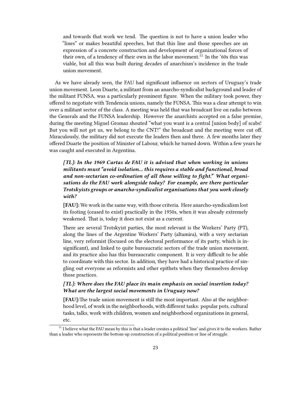and towards that work we tend. The question is not to have a union leader who "lines" or makes beautiful speeches, but that this line and those speeches are an expression of a concrete construction and development of organizational forces of their own, of a tendency of their own in the labor movement.<sup>11</sup> In the '60s this was viable, but all this was built during decades of anarchism's incidence in the trade union movement.

As we have already seen, the FAU had significant influence on sectors of Uruguay's trade union movement. Leon Duarte, a militant from an anarcho-syndicalist background and leader of the militant FUNSA, was a particularly prominent figure. When the military took power, they offered to negotiate with Tendencia unions, namely the FUNSA. This was a clear attempt to win over a militant sector of the class. A meeting was held that was broadcast live on radio between the Generals and the FUNSA leadership. However the anarchists accepted on a false premise, during the meeting Miguel Gromaz shouted "what you want is a central [union body] of scabs! But you will not get us, we belong to the CNT!" the broadcast and the meeting were cut off. Miraculously, the military did not execute the leaders then and there. A few months later they offered Duarte the position of Minister of Labour, which he turned down. Within a few years he was caught and executed in Argentina.

## *[TL]: In the 1969 Cartas de FAU it is advised that when working in unions militants must "avoid isolation… this requires a stable and functional, broad and non-sectarian co-ordination of all those willing to fight." What organisations do the FAU work alongside today? For example, are there particular Trotskyists groups or anarcho-syndicalist organisations that you work closely with?*

**[FAU]:** We work in the same way, with those criteria. Here anarcho-syndicalism lost its footing (ceased to exist) practically in the 1950s, when it was already extremely weakened. That is, today it does not exist as a current.

There are several Trotskyist parties, the most relevant is the Workers' Party (PT), along the lines of the Argentine Workers' Party (altamira), with a very sectarian line, very reformist (focused on the electoral performance of its party, which is insignificant), and linked to quite bureaucratic sectors of the trade union movement, and its practice also has this bureaucratic component. It is very difficult to be able to coordinate with this sector. In addition, they have had a historical practice of singling out everyone as reformists and other epithets when they themselves develop those practices.

#### *[TL]: Where does the FAU place its main emphasis on social insertion today? What are the largest social movements in Uruguay now?*

**[FAU]:**The trade union movement is still the most important. Also at the neighborhood level, of work in the neighborhoods, with different tasks: popular pots, cultural tasks, talks, work with children, women and neighborhood organizations in general, etc.

 $11$  I believe what the FAU mean by this is that a leader creates a political 'line' and gives it to the workers. Rather than a leader who represents the bottom-up construction of a political position or line of struggle.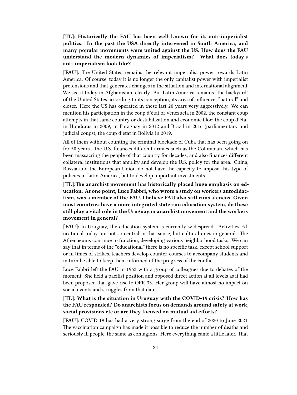**[TL]: Historically the FAU has been well known for its anti-imperialist politics. In the past the USA directly intervened in South America, and many popular movements were united against the US. How does the FAU understand the modern dynamics of imperialism? What does today's anti-imperialism look like?**

**[FAU]:** The United States remains the relevant imperialist power towards Latin America. Of course, today it is no longer the only capitalist power with imperialist pretensions and that generates changes in the situation and international alignment. We see it today in Afghanistan, clearly. But Latin America remains "the backyard" of the United States according to its conception, its area of influence, "natural" and closer. Here the US has operated in these last 20 years very aggressively. We can mention his participation in the coup d'état of Venezuela in 2002, the constant coup attempts in that same country or destabilization and economic bloc; the coup d'état in Honduras in 2009, in Paraguay in 2012 and Brazil in 2016 (parliamentary and judicial coups), the coup d'état in Bolivia in 2019.

All of them without counting the criminal blockade of Cuba that has been going on for 50 years. The U.S. finances different armies such as the Colombian, which has been massacring the people of that country for decades, and also finances different collateral institutions that amplify and develop the U.S. policy for the area. China, Russia and the European Union do not have the capacity to impose this type of policies in Latin America, but to develop important investments.

**[TL]:The anarchist movement has historically placed huge emphasis on education. At one point, Luce Fabbri, who wrote a study on workers autodidactism, was a member of the FAU. I believe FAU also still runs ateneos. Given most countries have a more integrated state-run education system, do these still play a vital role in the Uruguayan anarchist movement and the workers movement in general?**

**[FAU]:** In Uruguay, the education system is currently widespread. Activities Educational today are not so central in that sense, but cultural ones in general. The Athenaeums continue to function, developing various neighborhood tasks. We can say that in terms of the "educational" there is no specific task, except school support or in times of strikes, teachers develop counter-courses to accompany students and in turn be able to keep them informed of the progress of the conflict.

Luce Fabbri left the FAU in 1963 with a group of colleagues due to debates of the moment. She held a pacifist position and opposed direct action at all levels as it had been proposed that gave rise to OPR-33. Her group will have almost no impact on social events and struggles from that date.

#### **[TL]: What is the situation in Uruguay with the COVID-19 crisis? How has the FAU responded? Do anarchists focus on demands around safety at work, social provisions etc or are they focused on mutual aid efforts?**

**[FAU]**: COVID 19 has had a very strong surge from the end of 2020 to June 2021. The vaccination campaign has made it possible to reduce the number of deaths and seriously ill people, the same as contagions. Here everything came a little later. That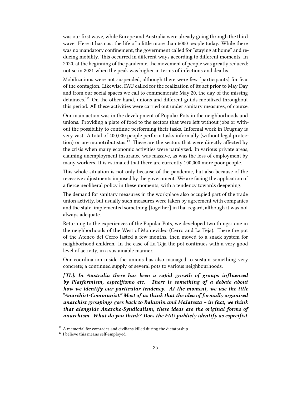was our first wave, while Europe and Australia were already going through the third wave. Here it has cost the life of a little more than 6000 people today. While there was no mandatory confinement, the government called for "staying at home" and reducing mobility. This occurred in different ways according to different moments. In 2020, at the beginning of the pandemic, the movement of people was greatly reduced; not so in 2021 when the peak was higher in terms of infections and deaths.

Mobilizations were not suspended, although there were few [participants] for fear of the contagion. Likewise, FAU called for the realization of its act prior to May Day and from our social spaces we call to commemorate May 20, the day of the missing detainees.<sup>12</sup> On the other hand, unions and different guilds mobilized throughout this period. All these activities were carried out under sanitary measures, of course.

Our main action was in the development of Popular Pots in the neighborhoods and unions. Providing a plate of food to the sectors that were left without jobs or without the possibility to continue performing their tasks. Informal work in Uruguay is very vast. A total of 400,000 people perform tasks informally (without legal protection) or are monotributistas.<sup>13</sup> These are the sectors that were directly affected by the crisis when many economic activities were paralyzed. In various private areas, claiming unemployment insurance was massive, as was the loss of employment by many workers. It is estimated that there are currently 100,000 more poor people.

This whole situation is not only because of the pandemic, but also because of the recessive adjustments imposed by the government. We are facing the application of a fierce neoliberal policy in these moments, with a tendency towards deepening.

The demand for sanitary measures in the workplace also occupied part of the trade union activity, but usually such measures were taken by agreement with companies and the state, implemented something [together] in that regard, although it was not always adequate.

Returning to the experiences of the Popular Pots, we developed two things: one in the neighborhoods of the West of Montevideo (Cerro and La Teja). There the pot of the Ateneo del Cerro lasted a few months, then moved to a snack system for neighborhood children. In the case of La Teja the pot continues with a very good level of activity, in a sustainable manner.

Our coordination inside the unions has also managed to sustain something very concrete; a continued supply of several pots to various neighbourhoods.

*[TL]: In Australia there has been a rapid growth of groups influenced by Platformism, especifismo etc. There is something of a debate about how we identify our particular tendency. At the moment, we use the title "Anarchist-Communist." Most of us think that the idea of formally organised anarchist groupings goes back to Bakunin and Malatesta – in fact, we think that alongside Anarcho-Syndicalism, these ideas are the original forms of anarchism. What do you think? Does the FAU publicly identify as especifist,*

 $^{\rm 12}$  A memorial for comrades and civilians killed during the dictatorship

<sup>&</sup>lt;sup>13</sup> I believe this means self-employed.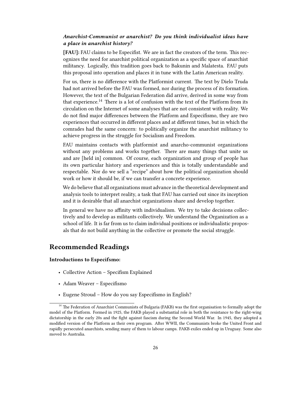#### *Anarchist-Communist or anarchist? Do you think individualist ideas have a place in anarchist history?*

**[FAU]:** FAU claims to be Especifist. We are in fact the creators of the term. This recognizes the need for anarchist political organization as a specific space of anarchist militancy. Logically, this tradition goes back to Bakunin and Malatesta. FAU puts this proposal into operation and places it in tune with the Latin American reality.

For us, there is no difference with the Platformist current. The text by Dielo Truda had not arrived before the FAU was formed, nor during the process of its formation. However, the text of the Bulgarian Federation did arrive, derived in some way from that experience.<sup>14</sup> There is a lot of confusion with the text of the Platform from its circulation on the Internet of some analyses that are not consistent with reality. We do not find major differences between the Platform and Especifismo, they are two experiences that occurred in different places and at different times, but in which the comrades had the same concern: to politically organize the anarchist militancy to achieve progress in the struggle for Socialism and Freedom.

FAU maintains contacts with platformist and anarcho-communist organizations without any problems and works together. There are many things that unite us and are [held in] common. Of course, each organization and group of people has its own particular history and experiences and this is totally understandable and respectable. Nor do we sell a "recipe" about how the political organization should work or how it should be, if we can transfer a concrete experience.

We do believe that all organizations must advance in the theoretical development and analysis tools to interpret reality, a task that FAU has carried out since its inception and it is desirable that all anarchist organizations share and develop together.

In general we have no affinity with individualism. We try to take decisions collectively and to develop as militants collectively. We understand the Organization as a school of life. It is far from us to claim individual positions or individualistic proposals that do not build anything in the collective or promote the social struggle.

# <span id="page-25-0"></span>**Recommended Readings**

#### **Introductions to Especifsmo:**

- Collective Action Specifism Explained
- Adam Weaver Especifismo
- Eugene Stroud How do you say Especifismo in English?

<sup>&</sup>lt;sup>14</sup> The Federation of Anarchist Communists of Bulgaria (FAKB) was the first organisation to formally adopt the model of the Platform. Formed in 1925, the FAKB played a substantial role in both the resistance to the right-wing dictatorship in the early 20s and the fight against fascism during the Second World War. In 1945, they adopted a modified version of the Platform as their own program. After WWII, the Communists broke the United Front and rapidly persecuted anarchists, sending many of them to labour camps. FAKB exiles ended up in Uruguay. Some also moved to Australia.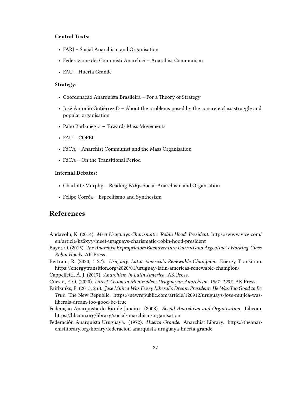#### **Central Texts:**

- FARJ Social Anarchism and Organisation
- Federazione dei Comunisti Anarchici Anarchist Communism
- FAU Huerta Grande

#### **Strategy:**

- Coordenação Anarquista Brasileira For a Theory of Strategy
- José Antonio Gutiérrez D About the problems posed by the concrete class struggle and popular organisation
- Pabo Barbanegra Towards Mass Movements
- FAU COPEI
- FdCA Anarchist Communist and the Mass Organisation
- FdCA On the Transitional Period

#### **Internal Debates:**

- Charlotte Murphy Reading FARjs Social Anarchism and Organsation
- Felipe Corrêa Especifismo and Synthesism

## <span id="page-26-0"></span>**References**

- Andavolu, K. (2014). *Meet Uruguays Charismatic 'Robin Hood' President*. https://www.vice.com/ en/article/kz5xyy/meet-uruguays-charismatic-robin-hood-president
- Bayer, O. (2015). *The Anarchist Expropriators Buenaventura Durruti and Argentina's Working-Class Robin Hoods*. AK Press.
- Bertram, R. (2020, 1 27). *Uruguay, Latin America's Renewable Champion*. Energy Transition. https://energytransition.org/2020/01/uruguay-latin-americas-renewable-champion/
- Cappelletti, Á. J. (2017). *Anarchism in Latin America*. AK Press.
- Cuesta, F. O. (2020). *Direct Action in Montevideo: Uruguayan Anarchism, 1927–1937.* AK Press.
- Fairbanks, E. (2015, 2 6). *Jose Mujica Was Every Liberal's Dream President. He Was Too Good to Be True.* The New Republic. https://newrepublic.com/article/120912/uruguays-jose-mujica-wasliberals-dream-too-good-be-true
- Federação Anarquista do Rio de Janeiro. (2008). *Social Anarchism and Organisation*. Libcom. https://libcom.org/library/social-anarchism-organisation
- Federación Anarquista Uruguaya. (1972). *Huerta Grande*. Anarchist Library. https://theanarchistlibrary.org/library/federacion-anarquista-uruguaya-huerta-grande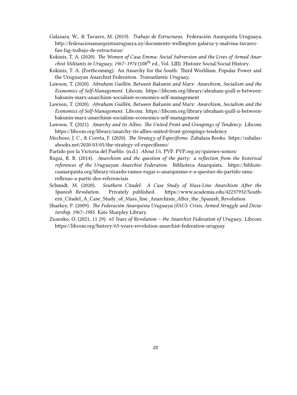- Galazara, W., & Tavarez, M. (2019). *Trabajo de Estructuras*. Federación Anarquista Uruguaya. http://federacionanarquistauruguaya.uy/documento-wellington-galarza-y-malvina-tavarezfau-fag-trabajo-de-estructuras/
- Kokinis, T. A. (2020). *The Women of Casa Emma: Social Subversion and the Lives of Armed Anarchist Militants in Uruguay, 1967–1974* (108th ed., Vol. LIII). Histoire Social/Social History.
- Kokinis, T. A. (Forthcoming). An Anarchy for the South: Third Worldism, Popular Power and the Uruguayan Anarchist Federation. *Transatlantic Uruguay*.
- Lawson, T. (2020). *Abraham Guillén, Between Bakunin and Marx: Anarchism, Socialism and the Economics of Self-Management*. Libcom. https://libcom.org/library/abraham-guill-n-betweenbakunin-marx-anarchism-socialism-economics-self-management
- Lawson, T. (2020). *Abraham Guillén, Between Bakunin and Marx: Anarchism, Socialism and the Economics of Self-Management*. Libcom. https://libcom.org/library/abraham-guill-n-betweenbakunin-marx-anarchism-socialism-economics-self-management
- Lawson, T. (2021). *Anarchy and its Allies: The United Front and Groupings of Tendency*. Libcom. https://libcom.org/library/anarchy-its-allies-united-front-groupings-tendency
- Mechoso, J. C., & Corrêa, F. (2020). *The Strategy of Especifismo*. Zabalaza Books. https://zabalazabooks.net/2020/03/05/the-strategy-of-especifismo/
- Partido por la Victoria del Pueblo. (n.d.). *About Us*. PVP. PVP.org.uy/quienes-somos/
- Rugai, R. R. (2014). *Anarchism and the question of the party: a reflection from the historical references of the Uruguayan Anarchist Federation*. Biblioteca Anarquista. https://bibliotecaanarquista.org/library/ricardo-ramos-rugai-o-anarquismo-e-a-questao-do-partido-umareflexao-a-partir-dos-referenciais
- Schmidt, M. (2020). *Southern Citadel: A Case Study of Mass-Line Anarchism After the Spanish Revolution*. Privately published. https://www.academia.edu/42237932/Southern\_Citadel\_A\_Case\_Study\_of\_Mass\_line\_Anarchism\_After\_the\_Spanish\_Revolution
- Sharkey, P. (2009). *The Federación Anarquista Uruguaya (FAU): Crisis, Armed Struggle and Dictatorship, 1967–1985*. Kate Sharpley Library.
- Zuzenko, O. (2021, 11 29). *65 Years of Revolution the Anarchist Federation of Uruguay*. Libcom. https://libcom.org/history/65-years-revolution-anarchist-federation-uruguay